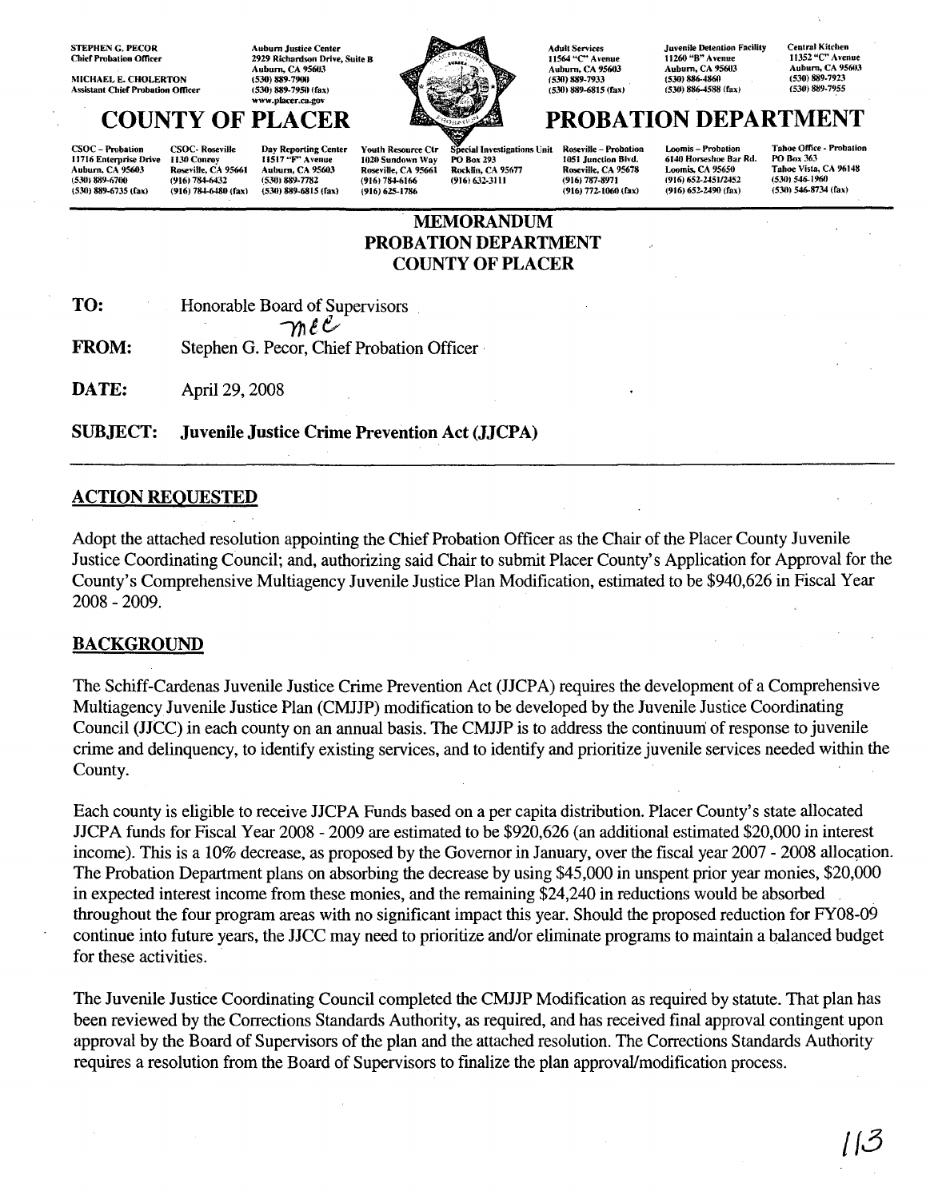STEPHEN G. PECOR Chief Probation Officer

MICHAEL E. CHOLERTON Assistant Chief Probation Officer Auburn Justice Center 2929 Richardson Drive, Suite B<br>Auburn, CA 95603 (530) 889-7900 (530) 889-79511 frax' www.pla«r.<a.gov



CSOC - Probation 11716 Enterprise Drive Anbum. CA 95603 (530) 889-6700 (530) 889-6735 (fax)

Day Reporting Center 11517 "F" Avenue Auburn. CA 95603 (5301 889-7782 (530) 889·6815 (fax) CSOC· Roseville 11.111 Conroy Roseville. CA 95661 (9161784-6432 (916) 784-6480 (fax)

(916) 625-1786



ecial Investigations Unit PO Box 293 Rocklin. CA 95677 (916) 632-3111 Youth Resource Ctr 1020 Sundown Way Roseville. CA 95661 (9161784-6166

11564 "C" Avenue Auhurn. CA 95603 (530) 889-7933 (530) 889-6815 (fax,

Adult Services

Roseville - Probation IOSI Junction Blvd. Roseville, CA 95678 (916) 787-8971 (916) 772-1060 (fax)

Juvenile Detention Facility 11260 "8" Avenue Auhum. CA 95603 (530) 886-4860 (5311) 886-4588 (fax)

Centra) Kitchen 1t3S2 *"C'* Avenue Auburn, CA 95603 (530) 889-7923 (5311) 889-7955

# Loomis - Probation PROBATION DEPARTMENT

6140 Horseshoe Bar Rd. Loomis, CA 95650 (916) 652-2451/2452 (916) 652-2490 (fax)

Tahoe Office - Probation PO Box 363 Tahoe Vista, CA 96148 (530) 546-1960  $(530)$  546-8734 (fax)

## MEMORANDUM PROBATION DEPARTMENT COUNTY OF PLACER

TO: Honorable Board of Supervisors

 $\gamma$ n e  $\zeta$ 

FROM: Stephen G. Pecor, Chief Probation Officer'

**DATE:** April 29, 2008

SUBJECT: Juvenile Justice Crime Prevention Act (JJCPA)

#### ACTION REQUESTED

Adopt the attached resolution appointing the Chief Probation Officer as the Chair of the Placer County Juvenile Justice Coordinating Council; and, authorizing said Chair to submit Placer County's Application for Approval for the County's Comprehensive Multiagency Juvenile Justice Plan Modification, estimated to be \$940,626 in Fiscal Year 2008 - 2009.

#### **BACKGROUND**

The Schiff-Cardenas Juvenile Justice Crime Prevention Act (JJCPA) requires the development of a Comprehensive MultiagencyJuvenile Justice Plan (CMJJP) modification to be developed by the Juvenile Justice Coordinating Council (JJCC) in each county on an annual basis. The CMJJP is to address the continuum of response to juvenile crime and delinquency, to identify existing services, and to identify and prioritize juvenile services needed within the County.

Each county is eligible to receive JJCPA Funds based on a per capita distribution. Placer County's state allocated JJCPA funds for Fiscal Year 2008 - 2009 are estimated to be \$920,626 (an additional estimated \$20,000 in interest income). This is a 10% decrease, as proposed by the Governor in January, over the fiscal year 2007 - 2008 allocation. The Probation Department plans on absorbing the decrease by using \$45,000 in unspent prior year monies, \$20,000 in expected interest income from these monies, and the remaining \$24,240 in reductions would be absorbed throughout the four program areas with no significant impact this year. Should the proposed reduction for FY08-09 continue into future years, the JJCC may need to prioritize and/or eliminate programs to maintain a balanced budget for these activities.

The Juvenile Justice Coordinating Council completed the CMJJP Modification as required by statute. That plan has been reviewed by the Corrections Standards Authority, as required, and has received final approval contingent upon approval by the Board of Supervisors of the plan and the attached resolution. The Corrections Standards Authority requires a resolution from the Board of Supervisors to finalize the plan approval/modification process.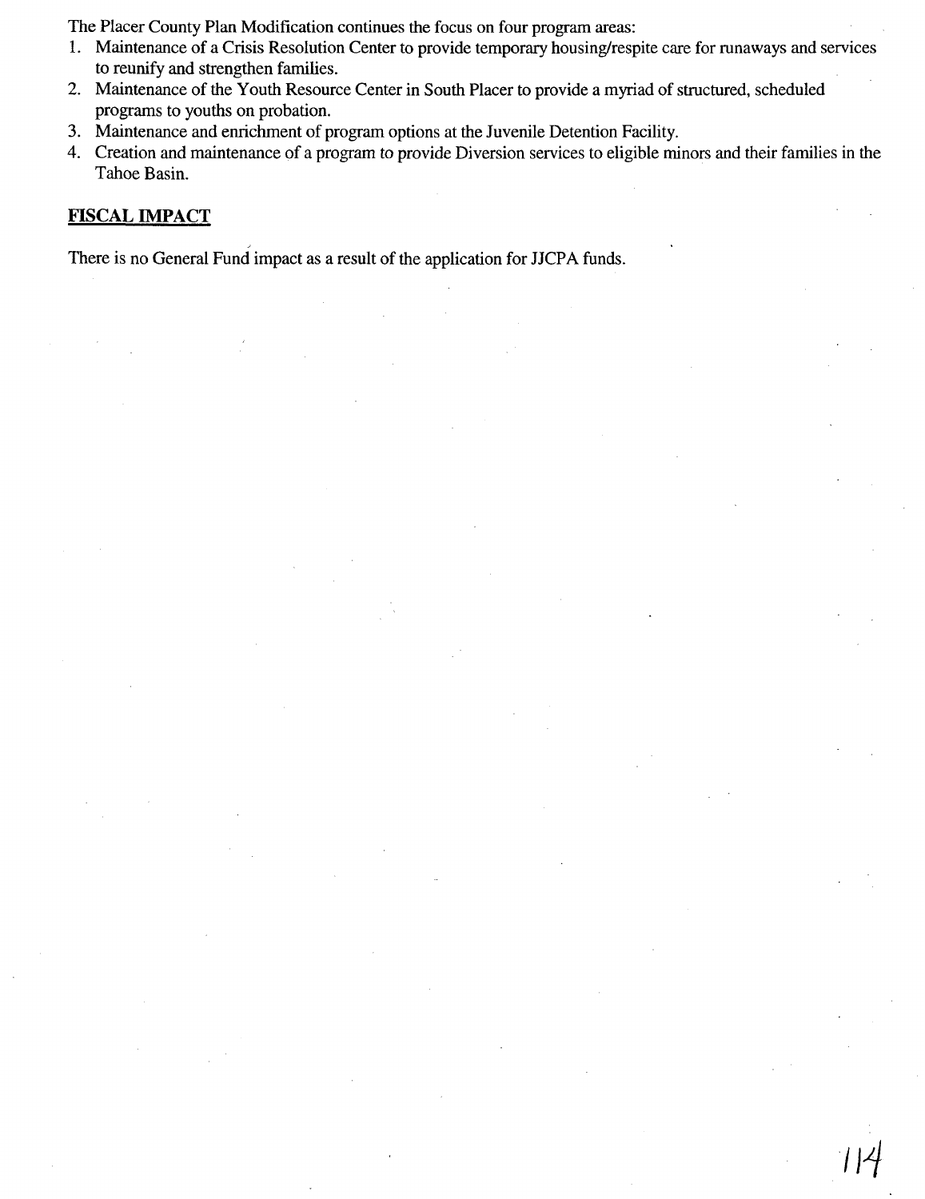The Placer County Plan Modification continues the focus on four program areas:

- 1. Maintenance of a Crisis Resolution Center to provide temporary housing/respite care for runaways and services to reunify and strengthen families.
- 2. Maintenance of the Youth Resource Center in South Placer to provide a myriad of structured, scheduled programs to youths on probation.
- 3. Maintenance and enrichment of program options at the Juvenile Detention Facility.
- 4. Creation and maintenance of a program to provide Diversion services to eligible minors and their families in the Tahoe Basin.

**I14**

## **FISCAL IMPACT**

There is no General Fund impact as a result of the application for JJCPA funds.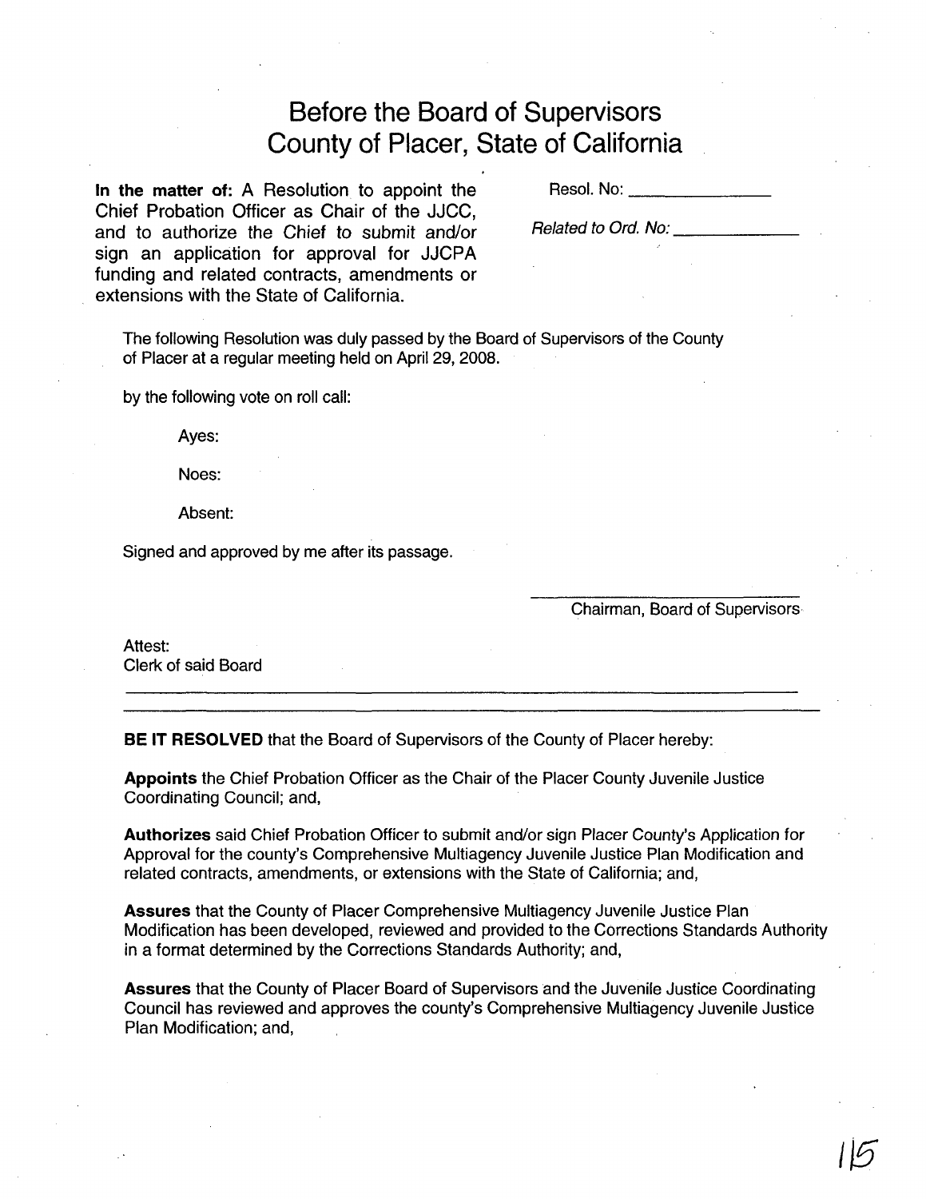# Before the Board of Supervisors County of Placer, State of California

In the matter of: A Resolution to appoint the Chief Probation Officer as Chair of the JJCC, and to authorize the Chief to submit and/or sign an application for approval for JJCPA funding and related contracts, amendments or extensions with the State of California.

Reso!. No: \_

Related to Ord. No:

The following Resolution was duly passed by the Board of Supervisors of the County of Placer at a regular meeting held on April 29, 2008.

by the following vote on roll call:

Ayes:

Noes:

Absent:

Signed and approved by me after its passage.

Chairman, Board of Supervisors

Attest: Clerk of said Board

BE IT RESOLVED that the Board of Supervisors of the County of Placer hereby:

Appoints the Chief Probation Officer as the Chair of the Placer County Juvenile Justice Coordinating Council; and,

Authorizes said Chief Probation Officer to submit and/or sign Placer County's Application for Approval for the county's Comprehensive Multiagency Juvenile Justice Plan Modification and related contracts, amendments, or extensions with the State of California; and,

Assures that the County of Placer Comprehensive Multiagency Juvenile Justice Plan Modification has been developed, reviewed and provided to the Corrections Standards Authority in a format determined by the Corrections Standards Authority; and,

Assures that the County of Placer Board of Supervisors and the Juvenile Justice Coordinating Council has reviewed and approves the county's Comprehensive Multiagency Juvenile Justice Plan Modification; and,